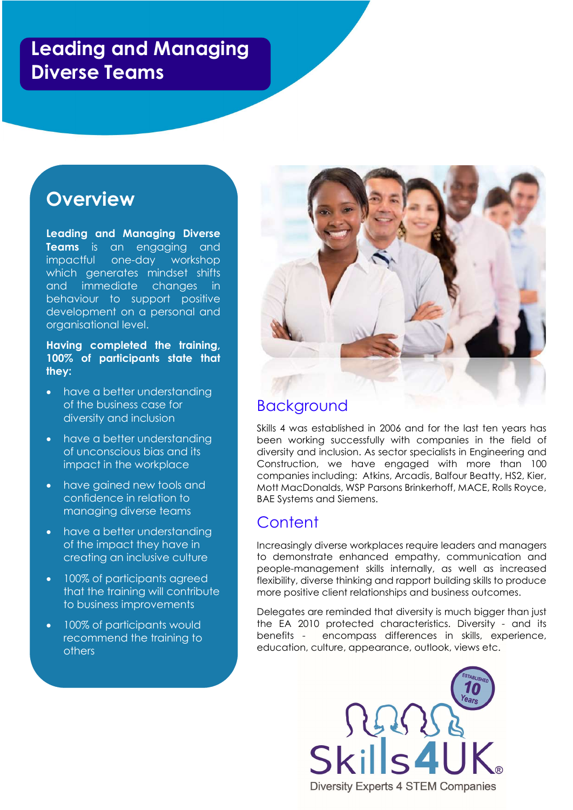# Leading and Managing Diverse Teams

# **Overview**

I

Leading and Managing Diverse Teams is an engaging and impactful one-day workshop which generates mindset shifts and immediate changes in behaviour to support positive development on a personal and organisational level.

Having completed the training, 100% of participants state that they:

- have a better understanding of the business case for diversity and inclusion
- have a better understanding of unconscious bias and its impact in the workplace
- have gained new tools and confidence in relation to managing diverse teams
- have a better understanding of the impact they have in creating an inclusive culture
- 100% of participants agreed that the training will contribute to business improvements
- 100% of participants would recommend the training to others



## Background

Skills 4 was established in 2006 and for the last ten years has been working successfully with companies in the field of diversity and inclusion. As sector specialists in Engineering and Construction, we have engaged with more than 100 companies including: Atkins, Arcadis, Balfour Beatty, HS2, Kier, Mott MacDonalds, WSP Parsons Brinkerhoff, MACE, Rolls Royce, BAE Systems and Siemens.

## **Content**

Increasingly diverse workplaces require leaders and managers to demonstrate enhanced empathy, communication and people-management skills internally, as well as increased flexibility, diverse thinking and rapport building skills to produce more positive client relationships and business outcomes.

Delegates are reminded that diversity is much bigger than just the EA 2010 protected characteristics. Diversity - and its benefits - encompass differences in skills, experience, education, culture, appearance, outlook, views etc.